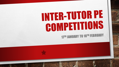# INTER-TUTOR PE COMPETITIONS **17TH JANUARY TO 18TH FEBRUARY**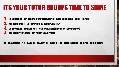# ITS YOUR TUTOR GROUPS TIME TO SHINE

- 1. DO YOU WANT TO PLAY SOME COMPETITIVE SPORT WITH AND AGAINST YOUR FRIENDS?
- 2. ARE YOU COMMITTED TO IMPROVING YOUR PE SKILLS?
- 3. DO YOU WANT TO MAKE A POSITIVE CONTRIBUTION TO YOUR TUTOR GROUP?
- **4. ARE YOU AFTER SOME CLASS CHARTS POSITIVES?**

#### IF THE ANSWER IS YES TO ANY OF THE ABOVE GET INVOLVED WITH OUR INTER TUTOR SPORTS PROGRAMME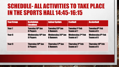### SCHEDULE- ALL ACTIVITIES TO TAKE PLACE IN THE SPORTS HALL 14:45-16:15

| <b>Year Group</b> | <b>Badminton</b><br><b>(doubles)</b> | <b>Indoor Sprints</b>     | <b>Football</b>          | <b>Basketball</b>        |
|-------------------|--------------------------------------|---------------------------|--------------------------|--------------------------|
| Year <sub>7</sub> | <b>Tuesday 18th Jan</b>              | Tuesday 25th Jan          | <b>Tuesday 1st Feb</b>   | <b>Tuesday 8th Feb</b>   |
|                   | <b>8 Players</b>                     | <b>6 Runners</b>          | <b>Teams of 7</b>        | <b>Teams of 6</b>        |
| Year <sub>8</sub> | <b>Wednesday 19th Jan</b>            | <b>Wednesday 26th Jan</b> | <b>Wednesday 2nd Feb</b> | <b>Wednesday 9th Feb</b> |
|                   | <b>8 Players</b>                     | <b>6 Runners</b>          | <b>Teams of 7</b>        | <b>Teams of 6</b>        |
| Year 9            | Thursday 20th Jan                    | Thursday 27th Jan         | <b>Thursday 3rd Feb</b>  | Thursday 10th Feb        |
|                   | <b>8 Players</b>                     | <b>6 Runners</b>          | <b>Teams of 7</b>        | <b>Teams of 6</b>        |